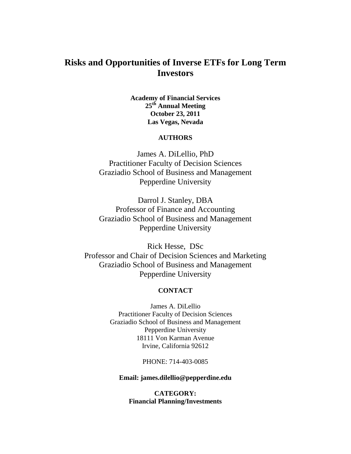# **Risks and Opportunities of Inverse ETFs for Long Term Investors**

**Academy of Financial Services 25th Annual Meeting October 23, 2011 Las Vegas, Nevada** 

## **AUTHORS**

James A. DiLellio, PhD Practitioner Faculty of Decision Sciences Graziadio School of Business and Management Pepperdine University

Darrol J. Stanley, DBA Professor of Finance and Accounting Graziadio School of Business and Management Pepperdine University

Rick Hesse, DSc Professor and Chair of Decision Sciences and Marketing Graziadio School of Business and Management Pepperdine University

## **CONTACT**

James A. DiLellio Practitioner Faculty of Decision Sciences Graziadio School of Business and Management Pepperdine University 18111 Von Karman Avenue Irvine, California 92612

PHONE: 714-403-0085

**Email: james.dilellio@pepperdine.edu**

**CATEGORY: Financial Planning/Investments**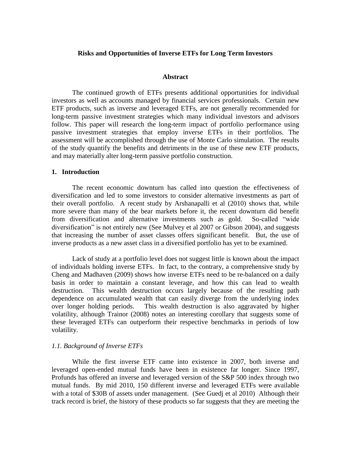### **Risks and Opportunities of Inverse ETFs for Long Term Investors**

#### **Abstract**

The continued growth of ETFs presents additional opportunities for individual investors as well as accounts managed by financial services professionals. Certain new ETF products, such as inverse and leveraged ETFs, are not generally recommended for long-term passive investment strategies which many individual investors and advisors follow. This paper will research the long-term impact of portfolio performance using passive investment strategies that employ inverse ETFs in their portfolios. The assessment will be accomplished through the use of Monte Carlo simulation. The results of the study quantify the benefits and detriments in the use of these new ETF products, and may materially alter long-term passive portfolio construction.

#### **1. Introduction**

The recent economic downturn has called into question the effectiveness of diversification and led to some investors to consider alternative investments as part of their overall portfolio. A recent study by Arshanapalli et al (2010) shows that, while more severe than many of the bear markets before it, the recent downturn did benefit from diversification and alternative investments such as gold. So-called "wide diversification" is not entirely new (See Mulvey et al 2007 or Gibson 2004), and suggests that increasing the number of asset classes offers significant benefit. But, the use of inverse products as a new asset class in a diversified portfolio has yet to be examined.

Lack of study at a portfolio level does not suggest little is known about the impact of individuals holding inverse ETFs. In fact, to the contrary, a comprehensive study by Cheng and Madhaven (2009) shows how inverse ETFs need to be re-balanced on a daily basis in order to maintain a constant leverage, and how this can lead to wealth destruction. This wealth destruction occurs largely because of the resulting path dependence on accumulated wealth that can easily diverge from the underlying index over longer holding periods. This wealth destruction is also aggravated by higher volatility, although Trainor (2008) notes an interesting corollary that suggests some of these leveraged ETFs can outperform their respective benchmarks in periods of low volatility.

#### *1.1. Background of Inverse ETFs*

While the first inverse ETF came into existence in 2007, both inverse and leveraged open-ended mutual funds have been in existence far longer. Since 1997, Profunds has offered an inverse and leveraged version of the S&P 500 index through two mutual funds. By mid 2010, 150 different inverse and leveraged ETFs were available with a total of \$30B of assets under management. (See Guedj et al 2010) Although their track record is brief, the history of these products so far suggests that they are meeting the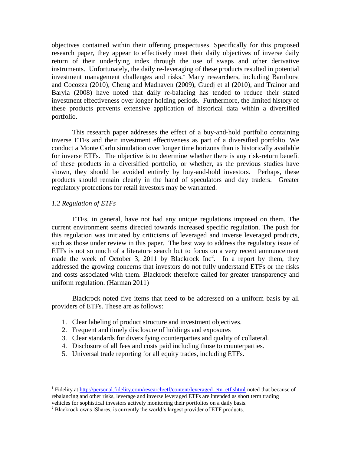objectives contained within their offering prospectuses. Specifically for this proposed research paper, they appear to effectively meet their daily objectives of inverse daily return of their underlying index through the use of swaps and other derivative instruments. Unfortunately, the daily re-leveraging of these products resulted in potential investment management challenges and risks. <sup>1</sup> Many researchers, including Barnhorst and Cocozza (2010), Cheng and Madhaven (2009), Guedj et al (2010), and Trainor and Baryla (2008) have noted that daily re-balacing has tended to reduce their stated investment effectiveness over longer holding periods. Furthermore, the limited history of these products prevents extensive application of historical data within a diversified portfolio.

This research paper addresses the effect of a buy-and-hold portfolio containing inverse ETFs and their investment effectiveness as part of a diversified portfolio. We conduct a Monte Carlo simulation over longer time horizons than is historically available for inverse ETFs. The objective is to determine whether there is any risk-return benefit of these products in a diversified portfolio, or whether, as the previous studies have shown, they should be avoided entirely by buy-and-hold investors. Perhaps, these products should remain clearly in the hand of speculators and day traders. Greater regulatory protections for retail investors may be warranted.

## *1.2 Regulation of ETFs*

 $\overline{a}$ 

ETFs, in general, have not had any unique regulations imposed on them. The current environment seems directed towards increased specific regulation. The push for this regulation was initiated by criticisms of leveraged and inverse leveraged products, such as those under review in this paper. The best way to address the regulatory issue of ETFs is not so much of a literature search but to focus on a very recent announcement made the week of October 3, 2011 by Blackrock  $Inc^2$ . In a report by them, they addressed the growing concerns that investors do not fully understand ETFs or the risks and costs associated with them. Blackrock therefore called for greater transparency and uniform regulation. (Harman 2011)

Blackrock noted five items that need to be addressed on a uniform basis by all providers of ETFs. These are as follows:

- 1. Clear labeling of product structure and investment objectives.
- 2. Frequent and timely disclosure of holdings and exposures
- 3. Clear standards for diversifying counterparties and quality of collateral.
- 4. Disclosure of all fees and costs paid including those to counterparties.
- 5. Universal trade reporting for all equity trades, including ETFs.

<sup>&</sup>lt;sup>1</sup> Fidelity at [http://personal.fidelity.com/research/etf/content/leveraged\\_etn\\_etf.shtml](https://webmail.pepperdine.edu/owa/redir.aspx?C=9859f8c6ad95425a991c679b73dcd405&URL=http%3a%2f%2fpersonal.fidelity.com%2fresearch%2fetf%2fcontent%2fleveraged_etn_etf.shtml) noted that because of rebalancing and other risks, leverage and inverse leveraged ETFs are intended as short term trading vehicles for sophistical investors actively monitoring their portfolios on a daily basis.

 $2^2$  Blackrock owns iShares, is currently the world's largest provider of ETF products.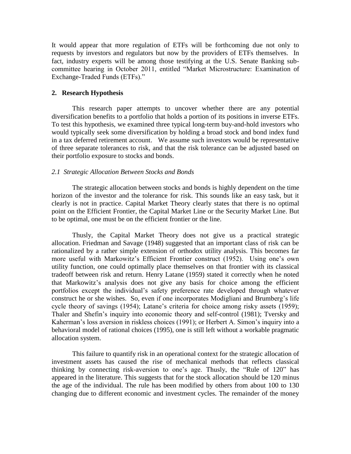It would appear that more regulation of ETFs will be forthcoming due not only to requests by investors and regulators but now by the providers of ETFs themselves. In fact, industry experts will be among those testifying at the U.S. Senate Banking subcommittee hearing in October 2011, entitled "Market Microstructure: Examination of Exchange-Traded Funds (ETFs)."

## **2. Research Hypothesis**

This research paper attempts to uncover whether there are any potential diversification benefits to a portfolio that holds a portion of its positions in inverse ETFs. To test this hypothesis, we examined three typical long-term buy-and-hold investors who would typically seek some diversification by holding a broad stock and bond index fund in a tax deferred retirement account. We assume such investors would be representative of three separate tolerances to risk, and that the risk tolerance can be adjusted based on their portfolio exposure to stocks and bonds.

## *2.1 Strategic Allocation Between Stocks and Bonds*

The strategic allocation between stocks and bonds is highly dependent on the time horizon of the investor and the tolerance for risk. This sounds like an easy task, but it clearly is not in practice. Capital Market Theory clearly states that there is no optimal point on the Efficient Frontier, the Capital Market Line or the Security Market Line. But to be optimal, one must be on the efficient frontier or the line.

Thusly, the Capital Market Theory does not give us a practical strategic allocation. Friedman and Savage (1948) suggested that an important class of risk can be rationalized by a rather simple extension of orthodox utility analysis. This becomes far more useful with Markowitz's Efficient Frontier construct (1952). Using one's own utility function, one could optimally place themselves on that frontier with its classical tradeoff between risk and return. Henry Latane (1959) stated it correctly when he noted that Markowitz's analysis does not give any basis for choice among the efficient portfolios except the individual's safety preference rate developed through whatever construct he or she wishes. So, even if one incorporates Modigliani and Brumberg's life cycle theory of savings (1954); Latane's criteria for choice among risky assets (1959); Thaler and Shefin's inquiry into economic theory and self-control (1981); Tversky and Kaherman's loss aversion in riskless choices (1991); or Herbert A. Simon's inquiry into a behavioral model of rational choices (1995), one is still left without a workable pragmatic allocation system.

This failure to quantify risk in an operational context for the strategic allocation of investment assets has caused the rise of mechanical methods that reflects classical thinking by connecting risk-aversion to one's age. Thusly, the "Rule of 120" has appeared in the literature. This suggests that for the stock allocation should be 120 minus the age of the individual. The rule has been modified by others from about 100 to 130 changing due to different economic and investment cycles. The remainder of the money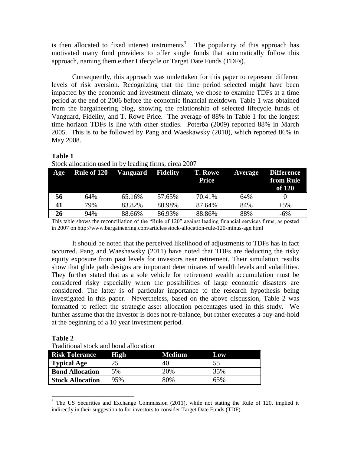is then allocated to fixed interest instruments<sup>3</sup>. The popularity of this approach has motivated many fund providers to offer single funds that automatically follow this approach, naming them either Lifecycle or Target Date Funds (TDFs).

Consequently, this approach was undertaken for this paper to represent different levels of risk aversion. Recognizing that the time period selected might have been impacted by the economic and investment climate, we chose to examine TDFs at a time period at the end of 2006 before the economic financial meltdown. Table 1 was obtained from the bargaineering blog, showing the relationship of selected lifecycle funds of Vanguard, Fidelity, and T. Rowe Price. The average of 88% in Table 1 for the longest time horizon TDFs is line with other studies. Poterba (2009) reported 88% in March 2005. This is to be followed by Pang and Waeskawsky (2010), which reported 86% in May 2008.

## **Table 1**

| Stock allocation used in by leading firms, circa 2007 |  |  |  |
|-------------------------------------------------------|--|--|--|
|                                                       |  |  |  |

| Age | <b>Rule of 120</b> | Vanguard | <b>Fidelity</b> | <b>T. Rowe</b><br>Price | <b>Average</b> | <b>Difference</b><br>from Rule<br>of 120 |
|-----|--------------------|----------|-----------------|-------------------------|----------------|------------------------------------------|
| 56  | 64%                | 65.16%   | 57.65%          | 70.41%                  | 64%            |                                          |
| 41  | 79%                | 83.82%   | 80.98%          | 87.64%                  | 84%            | $+5\%$                                   |
| 26  | 94%                | 88.66%   | 86.93%          | 88.86%                  | 88%            | -6%                                      |

This table shows the reconciliation of the "Rule of 120" against leading financial services firms, as posted in 2007 on http://www.bargaineering.com/articles/stock-allocation-rule-120-minus-age.html

It should be noted that the perceived likelihood of adjustments to TDFs has in fact occurred. Pang and Waeshawsky (2011) have noted that TDFs are deducting the risky equity exposure from past levels for investors near retirement. Their simulation results show that glide path designs are important determinates of wealth levels and volatilities. They further stated that as a sole vehicle for retirement wealth accumulation must be considered risky especially when the possibilities of large economic disasters are considered. The latter is of particular importance to the research hypothesis being investigated in this paper. Nevertheless, based on the above discussion, Table 2 was formatted to reflect the strategic asset allocation percentages used in this study. We further assume that the investor is does not re-balance, but rather executes a buy-and-hold at the beginning of a 10 year investment period.

# **Table 2**

 $\overline{a}$ 

Traditional stock and bond allocation

| <b>Risk Tolerance</b>   | <b>High</b> | <b>Medium</b> | <b>Low</b> |
|-------------------------|-------------|---------------|------------|
| <b>Typical Age</b>      |             | 40            | 55         |
| <b>Bond Allocation</b>  | 5%          | 20%           | 35%        |
| <b>Stock Allocation</b> | 95%         | 80%           | 65%        |

<sup>&</sup>lt;sup>3</sup> The US Securities and Exchange Commission (2011), while not stating the Rule of 120, implied it indirectly in their suggestion to for investors to consider Target Date Funds (TDF).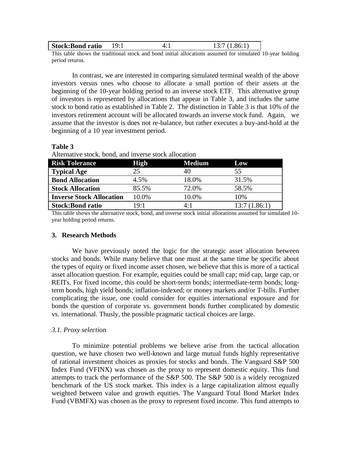| <b>Stock:Bond ratio</b> |  |  |
|-------------------------|--|--|
|                         |  |  |

This table shows the traditional stock and bond initial allocations assumed for simulated 10-year holding period returns.

In contrast, we are interested in comparing simulated terminal wealth of the above investors versus ones who choose to allocate a small portion of their assets at the beginning of the 10-year holding period to an inverse stock ETF. This alternative group of investors is represented by allocations that appear in Table 3, and includes the same stock to bond ratio as established in Table 2. The distinction in Table 3 is that 10% of the investors retirement account will be allocated towards an inverse stock fund. Again, we assume that the investor is does not re-balance, but rather executes a buy-and-hold at the beginning of a 10 year investment period.

| ARCHIAUVE SLUCK, DUNU, AND HIVEISE SLUCK ANOCALIUM |               |              |  |  |  |
|----------------------------------------------------|---------------|--------------|--|--|--|
| <b>High</b>                                        | <b>Medium</b> | Low          |  |  |  |
| 25                                                 | 40            | 55           |  |  |  |
| 4.5%                                               | 18.0%         | 31.5%        |  |  |  |
| 85.5%                                              | 72.0%         | 58.5%        |  |  |  |
| 10.0%                                              | 10.0%         | 10%          |  |  |  |
| 19:1                                               | 4:1           | 13:7(1.86:1) |  |  |  |
|                                                    |               |              |  |  |  |

Alternative stock, bond, and inverse stock allocation

This table shows the alternative stock, bond, and inverse stock initial allocations assumed for simulated 10 year holding period returns.

#### **3. Research Methods**

**Table 3**

We have previously noted the logic for the strategic asset allocation between stocks and bonds. While many believe that one must at the same time be specific about the types of equity or fixed income asset chosen, we believe that this is more of a tactical asset allocation question. For example, equities could be small cap; mid cap, large cap, or REITs. For fixed income, this could be short-term bonds; intermediate-term bonds; longterm bonds, high yield bonds; inflation-indexed; or money markets and/or T-bills. Further complicating the issue, one could consider for equities international exposure and for bonds the question of corporate vs. government bonds further complicated by domestic vs. international. Thusly, the possible pragmatic tactical choices are large.

## *3.1. Proxy selection*

To minimize potential problems we believe arise from the tactical allocation question, we have chosen two well-known and large mutual funds highly representative of rational investment choices as proxies for stocks and bonds. The Vanguard S&P 500 Index Fund (VFINX) was chosen as the proxy to represent domestic equity. This fund attempts to track the performance of the S&P 500. The S&P 500 is a widely recognized benchmark of the US stock market. This index is a large capitalization almost equally weighted between value and growth equities. The Vanguard Total Bond Market Index Fund (VBMFX) was chosen as the proxy to represent fixed income. This fund attempts to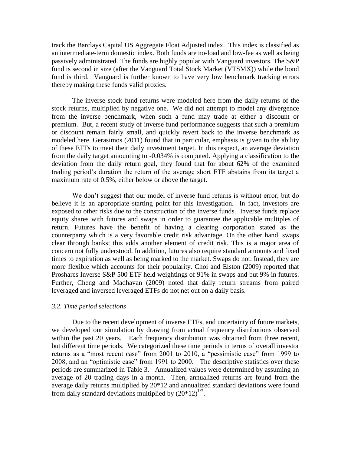track the Barclays Capital US Aggregate Float Adjusted index. This index is classified as an intermediate-term domestic index. Both funds are no-load and low-fee as well as being passively administrated. The funds are highly popular with Vanguard investors. The S&P fund is second in size (after the Vanguard Total Stock Market (VTSMX)) while the bond fund is third. Vanguard is further known to have very low benchmark tracking errors thereby making these funds valid proxies.

The inverse stock fund returns were modeled here from the daily returns of the stock returns, multiplied by negative one. We did not attempt to model any divergence from the inverse benchmark, when such a fund may trade at either a discount or premium. But, a recent study of inverse fund performance suggests that such a premium or discount remain fairly small, and quickly revert back to the inverse benchmark as modeled here. Gerasimos (2011) found that in particular, emphasis is given to the ability of these ETFs to meet their daily investment target. In this respect, an average deviation from the daily target amounting to -0.034% is computed. Applying a classification to the deviation from the daily return goal, they found that for about 62% of the examined trading period's duration the return of the average short ETF abstains from its target a maximum rate of 0.5%, either below or above the target.

We don't suggest that our model of inverse fund returns is without error, but do believe it is an appropriate starting point for this investigation. In fact, investors are exposed to other risks due to the construction of the inverse funds. Inverse funds replace equity shares with futures and swaps in order to guarantee the applicable multiples of return. Futures have the benefit of having a clearing corporation stated as the counterparty which is a very favorable credit risk advantage. On the other hand, swaps clear through banks; this adds another element of credit risk. This is a major area of concern not fully understood. In addition, futures also require standard amounts and fixed times to expiration as well as being marked to the market. Swaps do not. Instead, they are more flexible which accounts for their popularity. Choi and Elston (2009) reported that Proshares Inverse S&P 500 ETF held weightings of 91% in swaps and but 9% in futures. Further, Cheng and Madhavan (2009) noted that daily return streams from paired leveraged and inversed leveraged ETFs do not net out on a daily basis.

#### *3.2. Time period selections*

 Due to the recent development of inverse ETFs, and uncertainty of future markets, we developed our simulation by drawing from actual frequency distributions observed within the past 20 years. Each frequency distribution was obtained from three recent, but different time periods. We categorized these time periods in terms of overall investor returns as a "most recent case" from 2001 to 2010, a "pessimistic case" from 1999 to 2008, and an "optimistic case" from 1991 to 2000. The descriptive statistics over these periods are summarized in Table 3. Annualized values were determined by assuming an average of 20 trading days in a month. Then, annualized returns are found from the average daily returns multiplied by 20\*12 and annualized standard deviations were found from daily standard deviations multiplied by  $(20*12)^{1/2}$ .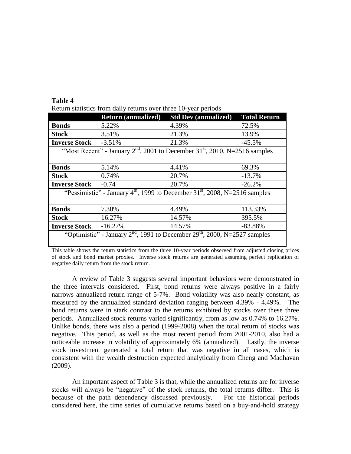|                                                                                          | <b>Return (annualized)</b> | <b>Std Dev (annualized)</b>                                                              | <b>Total Return</b> |  |  |
|------------------------------------------------------------------------------------------|----------------------------|------------------------------------------------------------------------------------------|---------------------|--|--|
| <b>Bonds</b>                                                                             | 5.22%                      | 4.39%                                                                                    | 72.5%               |  |  |
| <b>Stock</b>                                                                             | 3.51%                      | 21.3%                                                                                    | 13.9%               |  |  |
| <b>Inverse Stock</b>                                                                     | $-3.51%$                   | 21.3%                                                                                    | $-45.5%$            |  |  |
|                                                                                          |                            | "Most Recent" - January $2nd$ , 2001 to December 31 <sup>st</sup> , 2010, N=2516 samples |                     |  |  |
|                                                                                          |                            |                                                                                          |                     |  |  |
| <b>Bonds</b>                                                                             | 5.14%                      | 4.41%                                                                                    | 69.3%               |  |  |
| <b>Stock</b>                                                                             | 0.74%                      | 20.7%                                                                                    | $-13.7%$            |  |  |
| <b>Inverse Stock</b>                                                                     | $-0.74$                    | 20.7%                                                                                    | $-26.2%$            |  |  |
| "Pessimistic" - January $4th$ , 1999 to December 31 <sup>st</sup> , 2008, N=2516 samples |                            |                                                                                          |                     |  |  |
|                                                                                          |                            |                                                                                          |                     |  |  |
| <b>Bonds</b>                                                                             | 7.30%                      | 4.49%                                                                                    | 113.33%             |  |  |
| <b>Stock</b>                                                                             | 16.27%                     | 14.57%                                                                                   | 395.5%              |  |  |
| <b>Inverse Stock</b>                                                                     | $-16.27%$                  | 14.57%                                                                                   | $-83.88%$           |  |  |
| "Optimistic" - January $2nd$ , 1991 to December $29th$ , 2000, N=2527 samples            |                            |                                                                                          |                     |  |  |

**Table 4** Return statistics from daily returns over three 10-year periods

This table shows the return statistics from the three 10-year periods observed from adjusted closing prices of stock and bond market proxies. Inverse stock returns are generated assuming perfect replication of negative daily return from the stock return.

A review of Table 3 suggests several important behaviors were demonstrated in the three intervals considered. First, bond returns were always positive in a fairly narrows annualized return range of 5-7%. Bond volatility was also nearly constant, as measured by the annualized standard deviation ranging between 4.39% - 4.49%. The bond returns were in stark contrast to the returns exhibited by stocks over these three periods. Annualized stock returns varied significantly, from as low as 0.74% to 16.27%. Unlike bonds, there was also a period (1999-2008) when the total return of stocks was negative. This period, as well as the most recent period from 2001-2010, also had a noticeable increase in volatility of approximately 6% (annualized). Lastly, the inverse stock investment generated a total return that was negative in all cases, which is consistent with the wealth destruction expected analytically from Cheng and Madhavan (2009).

An important aspect of Table 3 is that, while the annualized returns are for inverse stocks will always be "negative" of the stock returns, the total returns differ. This is because of the path dependency discussed previously. For the historical periods considered here, the time series of cumulative returns based on a buy-and-hold strategy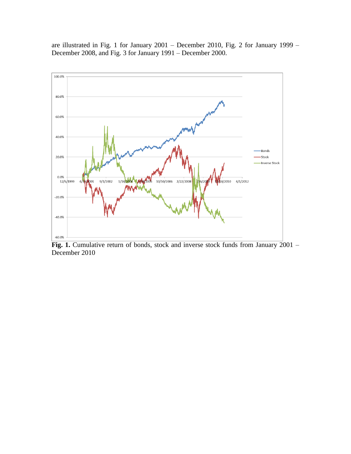

are illustrated in Fig. 1 for January 2001 – December 2010, Fig. 2 for January 1999 – December 2008, and Fig. 3 for January 1991 – December 2000.

Fig. 1. Cumulative return of bonds, stock and inverse stock funds from January 2001 -December 2010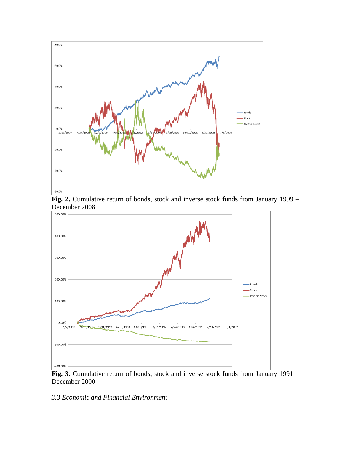

**Fig. 2.** Cumulative return of bonds, stock and inverse stock funds from January 1999 – December 2008



**Fig. 3.** Cumulative return of bonds, stock and inverse stock funds from January 1991 – December 2000

# *3.3 Economic and Financial Environment*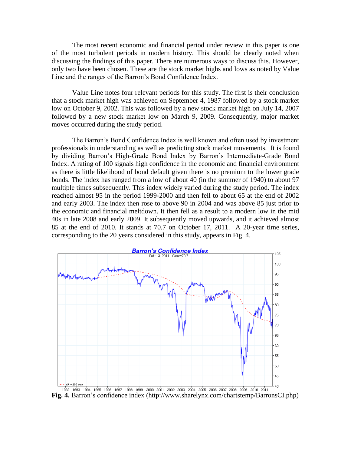The most recent economic and financial period under review in this paper is one of the most turbulent periods in modern history. This should be clearly noted when discussing the findings of this paper. There are numerous ways to discuss this. However, only two have been chosen. These are the stock market highs and lows as noted by Value Line and the ranges of the Barron's Bond Confidence Index.

Value Line notes four relevant periods for this study. The first is their conclusion that a stock market high was achieved on September 4, 1987 followed by a stock market low on October 9, 2002. This was followed by a new stock market high on July 14, 2007 followed by a new stock market low on March 9, 2009. Consequently, major market moves occurred during the study period.

The Barron's Bond Confidence Index is well known and often used by investment professionals in understanding as well as predicting stock market movements. It is found by dividing Barron's High-Grade Bond Index by Barron's Intermediate-Grade Bond Index. A rating of 100 signals high confidence in the economic and financial environment as there is little likelihood of bond default given there is no premium to the lower grade bonds. The index has ranged from a low of about 40 (in the summer of 1940) to about 97 multiple times subsequently. This index widely varied during the study period. The index reached almost 95 in the period 1999-2000 and then fell to about 65 at the end of 2002 and early 2003. The index then rose to above 90 in 2004 and was above 85 just prior to the economic and financial meltdown. It then fell as a result to a modern low in the mid 40s in late 2008 and early 2009. It subsequently moved upwards, and it achieved almost 85 at the end of 2010. It stands at 70.7 on October 17, 2011. A 20-year time series, corresponding to the 20 years considered in this study, appears in Fig. 4.



**Fig. 4.** Barron's confidence index (http://www.sharelynx.com/chartstemp/BarronsCI.php)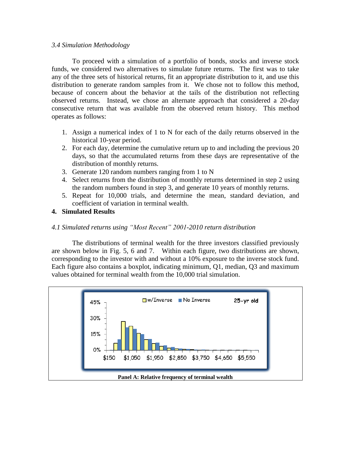## *3.4 Simulation Methodology*

To proceed with a simulation of a portfolio of bonds, stocks and inverse stock funds, we considered two alternatives to simulate future returns. The first was to take any of the three sets of historical returns, fit an appropriate distribution to it, and use this distribution to generate random samples from it. We chose not to follow this method, because of concern about the behavior at the tails of the distribution not reflecting observed returns. Instead, we chose an alternate approach that considered a 20-day consecutive return that was available from the observed return history. This method operates as follows:

- 1. Assign a numerical index of 1 to N for each of the daily returns observed in the historical 10-year period.
- 2. For each day, determine the cumulative return up to and including the previous 20 days, so that the accumulated returns from these days are representative of the distribution of monthly returns.
- 3. Generate 120 random numbers ranging from 1 to N
- 4. Select returns from the distribution of monthly returns determined in step 2 using the random numbers found in step 3, and generate 10 years of monthly returns.
- 5. Repeat for 10,000 trials, and determine the mean, standard deviation, and coefficient of variation in terminal wealth.
- **4. Simulated Results**

# *4.1 Simulated returns using "Most Recent" 2001-2010 return distribution*

The distributions of terminal wealth for the three investors classified previously are shown below in Fig. 5, 6 and 7. Within each figure, two distributions are shown, corresponding to the investor with and without a 10% exposure to the inverse stock fund. Each figure also contains a boxplot, indicating minimum, Q1, median, Q3 and maximum values obtained for terminal wealth from the 10,000 trial simulation.

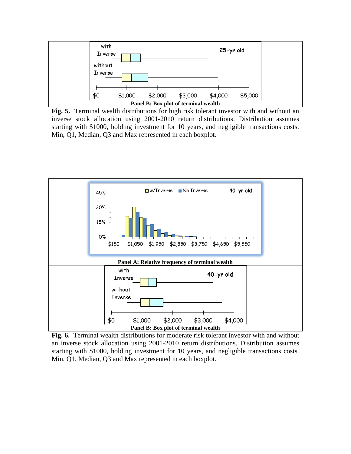

**Fig. 5.** Terminal wealth distributions for high risk tolerant investor with and without an inverse stock allocation using 2001-2010 return distributions. Distribution assumes starting with \$1000, holding investment for 10 years, and negligible transactions costs. Min, Q1, Median, Q3 and Max represented in each boxplot.



**Fig. 6.** Terminal wealth distributions for moderate risk tolerant investor with and without an inverse stock allocation using 2001-2010 return distributions. Distribution assumes starting with \$1000, holding investment for 10 years, and negligible transactions costs. Min, Q1, Median, Q3 and Max represented in each boxplot.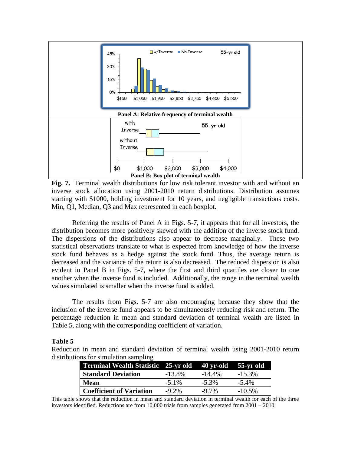

**Fig. 7.** Terminal wealth distributions for low risk tolerant investor with and without an inverse stock allocation using 2001-2010 return distributions. Distribution assumes starting with \$1000, holding investment for 10 years, and negligible transactions costs. Min, Q1, Median, Q3 and Max represented in each boxplot.

Referring the results of Panel A in Figs. 5-7, it appears that for all investors, the distribution becomes more positively skewed with the addition of the inverse stock fund. The dispersions of the distributions also appear to decrease marginally. These two statistical observations translate to what is expected from knowledge of how the inverse stock fund behaves as a hedge against the stock fund. Thus, the average return is decreased and the variance of the return is also decreased. The reduced dispersion is also evident in Panel B in Figs. 5-7, where the first and third quartiles are closer to one another when the inverse fund is included. Additionally, the range in the terminal wealth values simulated is smaller when the inverse fund is added.

The results from Figs. 5-7 are also encouraging because they show that the inclusion of the inverse fund appears to be simultaneously reducing risk and return. The percentage reduction in mean and standard deviation of terminal wealth are listed in Table 5, along with the corresponding coefficient of variation.

## **Table 5**

Reduction in mean and standard deviation of terminal wealth using 2001-2010 return distributions for simulation sampling

| Terminal Wealth Statistic 25-yr old |           | $\frac{40 \text{ yr-old}}{55 \text{ yr-old}}$ |           |
|-------------------------------------|-----------|-----------------------------------------------|-----------|
| <b>Standard Deviation</b>           | $-13.8\%$ | $-14.4\%$                                     | $-15.3\%$ |
| <b>Mean</b>                         | $-5.1\%$  | $-5.3\%$                                      | $-5.4\%$  |
| <b>Coefficient of Variation</b>     | $-9.2\%$  | $-9.7\%$                                      | $-10.5\%$ |

This table shows that the reduction in mean and standard deviation in terminal wealth for each of the three investors identified. Reductions are from 10,000 trials from samples generated from 2001 – 2010.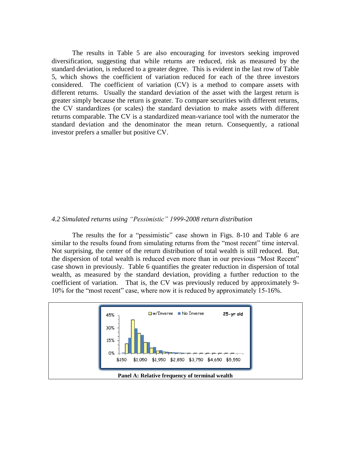The results in Table 5 are also encouraging for investors seeking improved diversification, suggesting that while returns are reduced, risk as measured by the standard deviation, is reduced to a greater degree. This is evident in the last row of Table 5, which shows the coefficient of variation reduced for each of the three investors considered. The coefficient of variation (CV) is a method to compare assets with different returns. Usually the standard deviation of the asset with the largest return is greater simply because the return is greater. To compare securities with different returns, the CV standardizes (or scales) the standard deviation to make assets with different returns comparable. The CV is a standardized mean-variance tool with the numerator the standard deviation and the denominator the mean return. Consequently, a rational investor prefers a smaller but positive CV.

#### *4.2 Simulated returns using "Pessimistic" 1999-2008 return distribution*

The results the for a "pessimistic" case shown in Figs. 8-10 and Table 6 are similar to the results found from simulating returns from the "most recent" time interval. Not surprising, the center of the return distribution of total wealth is still reduced. But, the dispersion of total wealth is reduced even more than in our previous "Most Recent" case shown in previously. Table 6 quantifies the greater reduction in dispersion of total wealth, as measured by the standard deviation, providing a further reduction to the coefficient of variation. That is, the CV was previously reduced by approximately 9- 10% for the "most recent" case, where now it is reduced by approximately 15-16%.

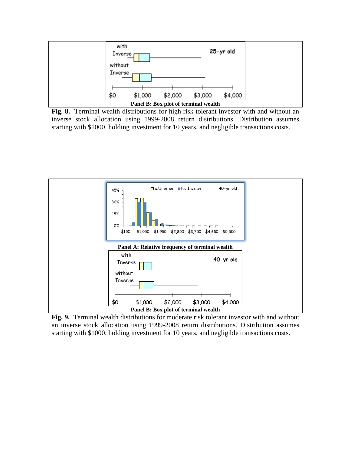

**Fig. 8.** Terminal wealth distributions for high risk tolerant investor with and without an inverse stock allocation using 1999-2008 return distributions. Distribution assumes starting with \$1000, holding investment for 10 years, and negligible transactions costs.



**Fig. 9.** Terminal wealth distributions for moderate risk tolerant investor with and without an inverse stock allocation using 1999-2008 return distributions. Distribution assumes starting with \$1000, holding investment for 10 years, and negligible transactions costs.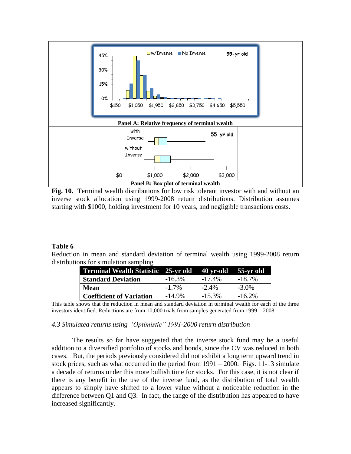

**Fig. 10.** Terminal wealth distributions for low risk tolerant investor with and without an inverse stock allocation using 1999-2008 return distributions. Distribution assumes starting with \$1000, holding investment for 10 years, and negligible transactions costs.

# **Table 6**

Reduction in mean and standard deviation of terminal wealth using 1999-2008 return distributions for simulation sampling

| Terminal Wealth Statistic 25-yr old 40 yr-old 55-yr old |           |           |           |
|---------------------------------------------------------|-----------|-----------|-----------|
| <b>Standard Deviation</b>                               | $-16.3\%$ | $-17.4\%$ | $-18.7\%$ |
| Mean                                                    | $-1.7\%$  | $-2.4\%$  | $-3.0\%$  |
| <b>Coefficient of Variation</b>                         | $-14.9\%$ | $-15.3\%$ | $-16.2\%$ |

This table shows that the reduction in mean and standard deviation in terminal wealth for each of the three investors identified. Reductions are from 10,000 trials from samples generated from 1999 – 2008.

## *4.3 Simulated returns using "Optimistic" 1991-2000 return distribution*

The results so far have suggested that the inverse stock fund may be a useful addition to a diversified portfolio of stocks and bonds, since the CV was reduced in both cases. But, the periods previously considered did not exhibit a long term upward trend in stock prices, such as what occurred in the period from  $1991 - 2000$ . Figs. 11-13 simulate a decade of returns under this more bullish time for stocks. For this case, it is not clear if there is any benefit in the use of the inverse fund, as the distribution of total wealth appears to simply have shifted to a lower value without a noticeable reduction in the difference between Q1 and Q3. In fact, the range of the distribution has appeared to have increased significantly.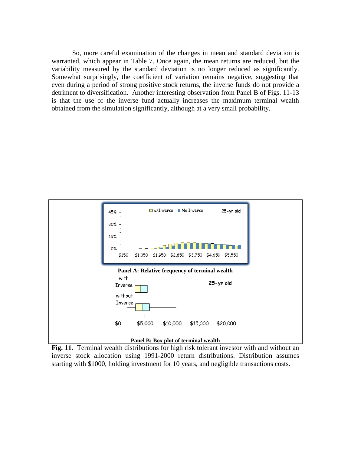So, more careful examination of the changes in mean and standard deviation is warranted, which appear in Table 7. Once again, the mean returns are reduced, but the variability measured by the standard deviation is no longer reduced as significantly. Somewhat surprisingly, the coefficient of variation remains negative, suggesting that even during a period of strong positive stock returns, the inverse funds do not provide a detriment to diversification. Another interesting observation from Panel B of Figs. 11-13 is that the use of the inverse fund actually increases the maximum terminal wealth obtained from the simulation significantly, although at a very small probability.



**Fig. 11.** Terminal wealth distributions for high risk tolerant investor with and without an inverse stock allocation using 1991-2000 return distributions. Distribution assumes starting with \$1000, holding investment for 10 years, and negligible transactions costs.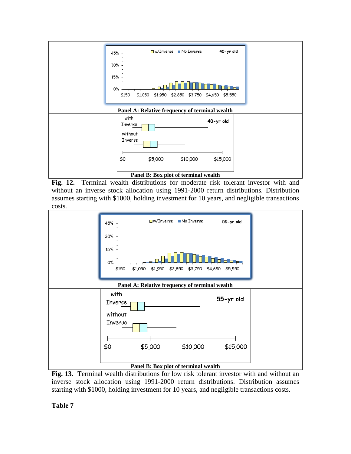

**Fig. 12.** Terminal wealth distributions for moderate risk tolerant investor with and without an inverse stock allocation using 1991-2000 return distributions. Distribution assumes starting with \$1000, holding investment for 10 years, and negligible transactions costs.



**Fig. 13.** Terminal wealth distributions for low risk tolerant investor with and without an inverse stock allocation using 1991-2000 return distributions. Distribution assumes starting with \$1000, holding investment for 10 years, and negligible transactions costs.

**Table 7**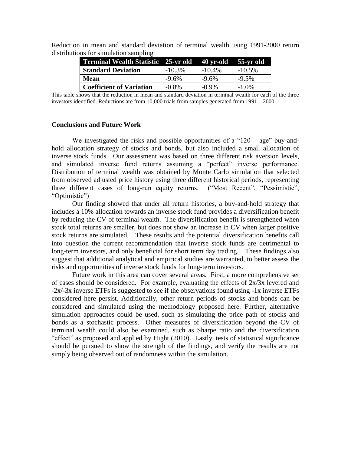| <b>Terminal Wealth Statistic 25-yr old</b> |           | 40 yr-old 55-yr old |           |
|--------------------------------------------|-----------|---------------------|-----------|
| <b>Standard Deviation</b>                  | $-10.3\%$ | $-10.4\%$           | $-10.5\%$ |
| <b>Mean</b>                                | $-9.6%$   | $-9.6%$             | $-9.5%$   |
| <b>Coefficient of Variation</b>            | $-0.8\%$  | $-0.9\%$            | $-1.0\%$  |

Reduction in mean and standard deviation of terminal wealth using 1991-2000 return distributions for simulation sampling

This table shows that the reduction in mean and standard deviation in terminal wealth for each of the three investors identified. Reductions are from 10,000 trials from samples generated from 1991 – 2000.

#### **Conclusions and Future Work**

We investigated the risks and possible opportunities of a " $120 - age$ " buy-andhold allocation strategy of stocks and bonds, but also included a small allocation of inverse stock funds. Our assessment was based on three different risk aversion levels, and simulated inverse fund returns assuming a "perfect" inverse performance. Distribution of terminal wealth was obtained by Monte Carlo simulation that selected from observed adjusted price history using three different historical periods, representing three different cases of long-run equity returns. ("Most Recent", "Pessimistic", "Optimistic")

Our finding showed that under all return histories, a buy-and-hold strategy that includes a 10% allocation towards an inverse stock fund provides a diversification benefit by reducing the CV of terminal wealth. The diversification benefit is strengthened when stock total returns are smaller, but does not show an increase in CV when larger positive stock returns are simulated. These results and the potential diversification benefits call into question the current recommendation that inverse stock funds are detrimental to long-term investors, and only beneficial for short term day trading. These findings also suggest that additional analytical and empirical studies are warranted, to better assess the risks and opportunities of inverse stock funds for long-term investors.

Future work in this area can cover several areas. First, a more comprehensive set of cases should be considered. For example, evaluating the effects of  $2x/3x$  levered and -2x/-3x inverse ETFs is suggested to see if the observations found using -1x inverse ETFs considered here persist. Additionally, other return periods of stocks and bonds can be considered and simulated using the methodology proposed here. Further, alternative simulation approaches could be used, such as simulating the price path of stocks and bonds as a stochastic process. Other measures of diversification beyond the CV of terminal wealth could also be examined, such as Sharpe ratio and the diversification "effect" as proposed and applied by Hight (2010). Lastly, tests of statistical significance should be pursued to show the strength of the findings, and verify the results are not simply being observed out of randomness within the simulation.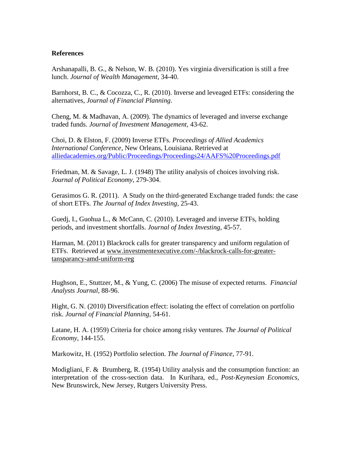## **References**

Arshanapalli, B. G., & Nelson, W. B. (2010). Yes virginia diversification is still a free lunch. *Journal of Wealth Management*, 34-40.

Barnhorst, B. C., & Cocozza, C., R. (2010). Inverse and leveaged ETFs: considering the alternatives, *Journal of Financial Planning*.

Cheng, M. & Madhavan, A. (2009). The dynamics of leveraged and inverse exchange traded funds. *Journal of Investment Management*, 43-62.

Choi, D. & Elston, F. (2009) Inverse ETFs. *Proceedings of Allied Academics International Conference*, New Orleans, Louisiana. Retrieved at [alliedacademies.org/Public/Proceedings/Proceedings24/AAFS%20Proceedings.pdf](http://alliedacademies.org/Public/Proceedings/Proceedings24/AAFS%20Proceedings.pdf)

Friedman, M. & Savage, L. J. (1948) The utility analysis of choices involving risk. *Journal of Political Economy*, 279-304.

Gerasimos G. R. (2011). A Study on the third-generated Exchange traded funds: the case of short ETFs. *The Journal of Index Investing*, 25-43.

Guedj, I., Guohua L., & McCann, C. (2010). Leveraged and inverse ETFs, holding periods, and investment shortfalls. *Journal of Index Investing*, 45-57.

Harman, M. (2011) Blackrock calls for greater transparency and uniform regulation of ETFs. Retrieved at [www.investmentexecutive.com/-/blackrock-calls-for-greater](http://www.investmentexecutive.com/-/blackrock-calls-for-greater-tansparancy-amd-uniform-reg)[tansparancy-amd-uniform-reg](http://www.investmentexecutive.com/-/blackrock-calls-for-greater-tansparancy-amd-uniform-reg)

Hughson, E., Stuttzer, M., & Yung, C. (2006) The misuse of expected returns. *Financial Analysts Journal*, 88-96.

Hight, G. N. (2010) Diversification effect: isolating the effect of correlation on portfolio risk. *Journal of Financial Planning*, 54-61.

Latane, H. A. (1959) Criteria for choice among risky ventures. *The Journal of Political Economy*, 144-155.

Markowitz, H. (1952) Portfolio selection. *The Journal of Finance*, 77-91.

Modigliani, F. & Brumberg, R. (1954) Utility analysis and the consumption function: an interpretation of the cross-section data. In Kurihara, ed., *Post-Keynesian Economics,* New Brunswirck, New Jersey, Rutgers University Press.